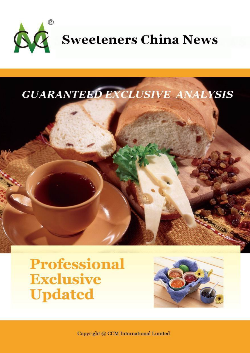



**Professional Exclusive Updated** 



Copyright © CCM International Limited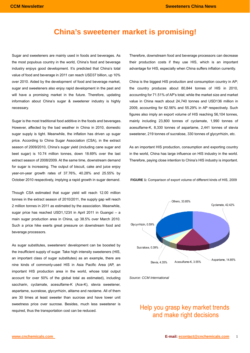# **China's sweetener market is promising!**

Sugar and sweeteners are mainly used in foods and beverages. As the most populous country in the world, China's food and beverage industry enjoys good development. It's predicted that China's total value of food and beverage in 2011 can reach USD37 billion, up 10% over 2010. Aided by the development of food and beverage market, sugar and sweeteners also enjoy rapid development in the past and will have a promising market in the future. Therefore, updating information about China's sugar & sweetener industry is highly necessary.

Sugar is the most traditional food additive in the foods and beverages. However, affected by the bad weather in China in 2010, domestic sugar supply is tight. Meanwhile, the inflation has driven up sugar price. According to China Sugar Association (CSA), in the extract season of 2009/2010, China's sugar yield (including cane sugar and beet sugar) is 10.74 million tonnes, down 18.69% over the last extract season of 2008/2009. At the same time, downstream demand for sugar is increasing. The output of biscuit, cake and juice enjoy year-on-year growth rates of 37.76%, 40.28% and 25.55% by October 2010 respectively, implying a rapid growth in sugar demand.

Though CSA estimated that sugar yield will reach 12.00 million tonnes in the extract season of 2010/2011, the supply gap will reach 2 million tonnes in 2011 as estimated by the association. Meanwhile, sugar price has reached USD1,123/t in April 2011 in Guangxi – a main sugar production area in China, up 38.5% over March 2010. Such a price hike exerts great pressure on downstream food and beverage processors.

As sugar substitutes, sweeteners' development can be boosted by the insufficient supply of sugar. Take high intensity sweeteners (HIS, an important class of sugar substitutes) as an example, there are nine kinds of commonly-used HIS in Asia Pacific Area (AP, an important HIS production area in the world, whose total output account for over 50% of the global total as estimated), including saccharin, cyclamate, acesulfame-K (Ace-K), stevia sweetener, aspartame, sucralose, glycyrrhizin, alitame and neotame. All of them are 30 times at least sweeter than sucrose and have lower unit sweetness price over sucrose. Besides, much less sweetener is required, thus the transportation cost can be reduced.

Therefore, downstream food and beverage processors can decrease their production costs if they use HIS, which is an important advantage for HIS, especially when China suffers inflation currently.

China is the biggest HIS production and consumption country in AP; the country produces about 80,844 tonnes of HIS in 2010, accounting for 71.51% of AP's total; while the market size and market value in China reach about 24,740 tonnes and USD136 million in 2009, accounting for 62.56% and 55.29% in AP respectively. Such figures also imply an export volume of HIS reaching 56,104 tonnes, mainly including 23,800 tonnes of cyclamate, 1,990 tonnes of acesulfame-K, 8,330 tonnes of aspartame, 2,441 tonnes of stevia sweetener, 219 tonnes of sucralose, 330 tonnes of glycyrrhizin, etc.

As an important HIS production, consumption and exporting country in the world, China has large influence on HIS industry in the world. Therefore, paying close intention to China's HIS industry is important.

**FIGURE 1:** Comparison of export volume of different kinds of HIS, 2009



*Source: CCM International* 

# Help you grasp key market trends and make right decisions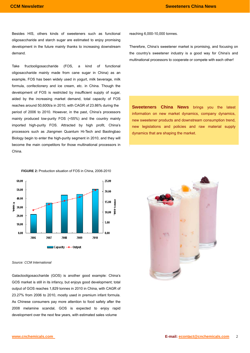Besides HIS, others kinds of sweeteners such as functional oligosaccharide and starch sugar are estimated to enjoy promising development in the future mainly thanks to increasing downstream demand.

Take fructooligosaccharide (FOS, a kind of functional oligosaccharide mainly made from cane sugar in China) as an example, FOS has been widely used in yogurt, milk beverage, milk formula, confectionery and ice cream, etc. in China. Though the development of FOS is restricted by insufficient supply of sugar, aided by the increasing market demand, total capacity of FOS reaches around 50,600t/a in 2010, with CAGR of 23.86% during the period of 2006 to 2010. However, in the past, China's processors mainly produced low-purity FOS (<55%) and the country mainly imported high-purity FOS. Attracted by high profit, China's processors such as JIangmen Quantum Hi-Tech and Baolingbao Biology begin to enter the high-purity segment in 2010, and they will become the main competitors for those multinational processors in China.

reaching 6,000-10,000 tonnes.

Therefore, China's sweetener market is promising, and focusing on the country's sweetener industry is a good way for China's and multinational processors to cooperate or compete with each other!

**Sweeteners China News** brings you the latest information on new market dynamics, company dynamics, new sweetener products and downstream consumption trend, new legislations and policies and raw material supply dynamics that are shaping the market.





#### *Source: CCM International*

Galactooligosaccharide (GOS) is another good example: China's GOS market is still in its infancy, but enjoys good development; total output of GOS reaches 1,829 tonnes in 2010 in China, with CAGR of 23.27% from 2006 to 2010, mostly used in premium infant formula. As Chinese consumers pay more attention to food safety after the 2008 melamine scandal, GOS is expected to enjoy rapid development over the next few years, with estimated sales volume

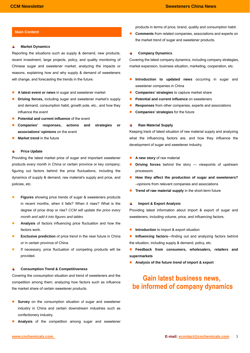#### 瞿 **Market Dynamics**

Reporting the situations such as supply & demand, new products, recent investment, large projects, policy, and quality monitoring of Chinese sugar and sweetener market; analyzing the impacts or reasons, explaining how and why supply & demand of sweeteners will change, and forecasting the trends in the future.

- A latest event or news in sugar and sweetener market
- **Driving forces, including sugar and sweetener market's supply** and demand, consumption habit, growth pole, etc., and how they influence the event
- **Potential and current influence** of the event
- Companies' responses, actions and strategies or **associations' opinions** on the event
- **Market trend** in the future

#### $\frac{1}{2}$ **Price Update**

Providing the latest market price of sugar and important sweetener products every month in China or certain province or key company; figuring out factors behind the price fluctuations, including the dynamics of supply & demand, raw material's supply and price, and policies, etc.

- **Figures** showing price trends of sugar & sweeteners products in recent months, when it falls? When it rises? What is the degree of price drop or rise? *CCM will update the price every month and add it into figures and tables*
- **Analysis** of factors influencing price fluctuation and how the factors work.
- **Exclusive prediction** of price trend in the near future in China or in certain province of China.
- If necessary, price fluctuation of competing products will be provided.

#### **Consumption Trend & Competitiveness**   $\frac{1}{2}$

Covering the consumption situation and trend of sweeteners and the competition among them; analyzing how factors such as influence the market share of certain sweetener products.

- **Survey** on the consumption situation of sugar and sweetener industry in China and certain downstream industries such as confectionery industry.
- Analysis of the competition among sugar and sweetener

products in terms of price, brand, quality and consumption habit.

**Main Content** z **Comments z Comments** from related companies, associations and experts on the market trend of sugar and sweetener products.

#### **Company Dynamics**   $\ddot{}$

Covering the latest company dynamics, including company strategies, market expansion, business situation, marketing, cooperation, etc.

- **.** Introduction to updated news occurring in sugar and sweetener companies in China
- **Companies' strategies** to capture market share
- **Potential and current influence** on sweeteners
- **Responses** from other companies, experts and associations
- z **Companies' strategies** for the future

#### 辈 **Raw Material Supply**

Keeping track of latest situation of raw material supply and analyzing what the influencing factors are, and how they influence the development of sugar and sweetener industry.

- A new story of raw material
- **Driving forces** behind the story --- viewpoints of upstream processors
- How they affect the production of sugar and sweeteners? –opinions from relevant companies and associations
- **Trend of raw material supply** in the short-term future

#### 4 **Import & Export Analysis**

Providing latest information about import & export of sugar and sweeteners, including volume, price, and influencing factors.

- **•** Introduction to import & export situation
- **Influencing factors**—finding out and analyzing factors behind the situation, including supply & demand, policy, etc.
- **•** Feedback from consumers, wholesalers, retailers and **supermarkets**
- z **Analysis of the future trend of import & export**

# **Gain latest business news,** be informed of company dynamics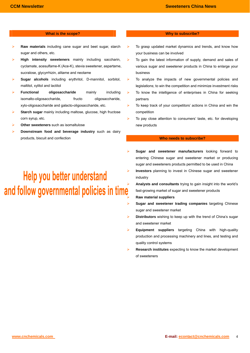## **What is the scope? Why to subscribe?**

- ¾ **Raw materials** including cane sugar and beet sugar, starch sugar and others, etc.
- ¾ **High intensity sweeteners** mainly including saccharin, cyclamate, acesulfame-K (Ace-K), stevia sweetener, aspartame, sucralose, glycyrrhizin, alitame and neotame
- ¾ **Sugar alcohols** including erythritol, D-mannitol, sorbitol, maltitol, xylitol and lactitol
- ¾ **Functional oligosaccharide** mainly including isomalto-oligosaccharide, fructo oligosaccharide, xylo-oligosaccharide and galacto-oligosaccharide, etc.
- **Starch sugar** mainly including maltose, glucose, high fructose corn syrup, etc.
- **Other sweeteners** such as isomaltulose
- ¾ **Downstream food and beverage industry** such as dairy products, biscuit and confection

Help you better understand

- To grasp updated market dynamics and trends, and know how your business can be involved
- $\triangleright$  To gain the latest information of supply, demand and sales of various sugar and sweetener products in China to enlarge your business
- ¾ To analyze the impacts of new governmental policies and legislations; to win the competition and minimize investment risks
- $\triangleright$  To know the intelligence of enterprises in China for seeking partners
- To keep track of your competitors' actions in China and win the competition
- $\triangleright$  To pay close attention to consumers' taste, etc. for developing new products

## **Who needs to subscribe?**

- ¾ **Sugar and sweetener manufacturers** looking forward to entering Chinese sugar and sweetener market or producing sugar and sweeteners products permitted to be used in China
- ¾ **Investors** planning to invest in Chinese sugar and sweetener industry
- analysts and consultants trying to gain insight into the world's and **follow** governmental policies in time is and consultants trying to gain insight into the world's fast-growing market of sugar and sweetener products ¾ **Raw material suppliers**
	- ¾ **Sugar and sweetener trading companies** targeting Chinese sugar and sweetener market
	- ¾ **Distributors** wishing to keep up with the trend of China's sugar and sweetener market
	- **Equipment suppliers** targeting China with high-quality production and processing machinery and lines, and testing and quality control systems
	- ¾ **Research institutes** expecting to know the market development of sweeteners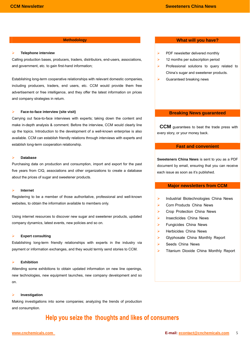#### **Telephone interview**

Calling production bases, producers, traders, distributors, end-users, associations, and government, etc. to gain first-hand information;

Establishing long-term cooperative relationships with relevant domestic companies, including producers, traders, end users, etc. CCM would provide them free advertisement or free intelligence, and they offer the latest information on prices and company strategies in return.

## ¾ **Face-to-face interview (site visit)**

Carrying out face-to-face interviews with experts; taking down the content and make in-depth analysis & comment. Before the interview, CCM would clearly line up the topics. Introduction to the development of a well-known enterprise is also available. CCM can establish friendly relations through interviews with experts and establish long-term cooperation relationship.

## ¾ **Database**

Purchasing data on production and consumption, import and export for the past five years from CIQ, associations and other organizations to create a database about the prices of sugar and sweetener products.

## ¾ **Internet**

Registering to be a member of those authoritative, professional and well-known websites, to obtain the information available to members only.

Using internet resources to discover new sugar and sweetener products, updated company dynamics, latest events, new policies and so on.

### **Expert consulting**

Establishing long-term friendly relationships with experts in the industry via payment or information exchanges, and they would termly send stories to CCM.

#### ¾ **Exhibition**

Attending some exhibitions to obtain updated information on new line openings, new technologies, new equipment launches, new company development and so on.

### ¾ **Investigation**

Making investigations into some companies; analyzing the trends of production and consumption.

# Help you seize the thoughts and likes of consumers

# **Methodology Mathodology What will you have?**

- $\triangleright$  PDF newsletter delivered monthly
- $\geq$  12 months per subscription period
- ¾ Professional solutions to query related to China's sugar and sweetener products.
- $\blacktriangleright$  Guaranteed breaking news

## **Breaking News guaranteed**

 **CCM** guarantees to beat the trade press with every story, or your money back.

## **Fast and convenient**

**Sweeteners China News** is sent to you as a PDF document by email, ensuring that you can receive each issue as soon as it's published.

## **Major newsletters from CCM**

- ¾ Industrial Biotechnologies China News
- ¾ Corn Products China News
- ▶ Crop Protection China News
- ¾ Insecticides China News
- $\triangleright$  Fungicides China News
- ¾ Herbicides China News
- $\triangleright$  Glyphosate China Monthly Report
- $\triangleright$  Seeds China News
- ¾ Titanium Dioxide China Monthly Report